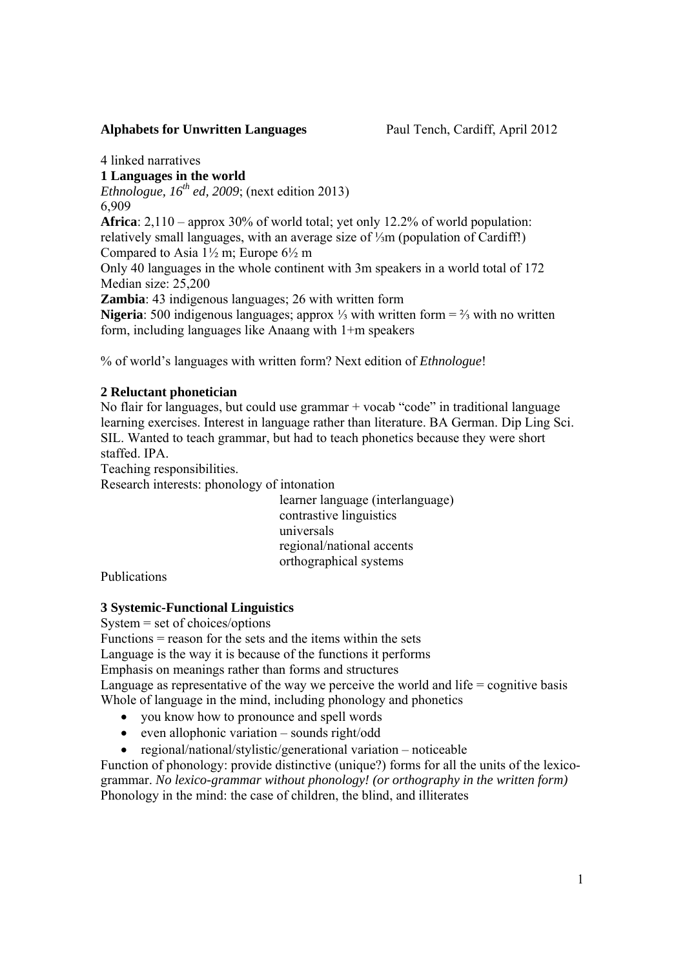### **Alphabets for Unwritten Languages** Paul Tench, Cardiff, April 2012

4 linked narratives **1 Languages in the world**  *Ethnologue,*  $16^{th}$  *ed, 2009*; (next edition 2013) 6,909 **Africa**: 2,110 – approx 30% of world total; yet only 12.2% of world population: relatively small languages, with an average size of ⅓m (population of Cardiff!) Compared to Asia  $1\frac{1}{2}$  m; Europe  $6\frac{1}{2}$  m Only 40 languages in the whole continent with 3m speakers in a world total of 172 Median size: 25,200 **Zambia**: 43 indigenous languages; 26 with written form **Nigeria**: 500 indigenous languages; approx ⅓ with written form = ⅔ with no written form, including languages like Anaang with 1+m speakers

% of world's languages with written form? Next edition of *Ethnologue*!

# **2 Reluctant phonetician**

No flair for languages, but could use grammar + vocab "code" in traditional language learning exercises. Interest in language rather than literature. BA German. Dip Ling Sci. SIL. Wanted to teach grammar, but had to teach phonetics because they were short staffed. IPA.

Teaching responsibilities.

Research interests: phonology of intonation

 learner language (interlanguage) contrastive linguistics universals regional/national accents orthographical systems

Publications

## **3 Systemic-Functional Linguistics**

System = set of choices/options

Functions = reason for the sets and the items within the sets

Language is the way it is because of the functions it performs

Emphasis on meanings rather than forms and structures

Language as representative of the way we perceive the world and life  $=$  cognitive basis Whole of language in the mind, including phonology and phonetics

- you know how to pronounce and spell words
- $\bullet$  even allophonic variation sounds right/odd
- regional/national/stylistic/generational variation noticeable

Function of phonology: provide distinctive (unique?) forms for all the units of the lexicogrammar. *No lexico-grammar without phonology! (or orthography in the written form)*  Phonology in the mind: the case of children, the blind, and illiterates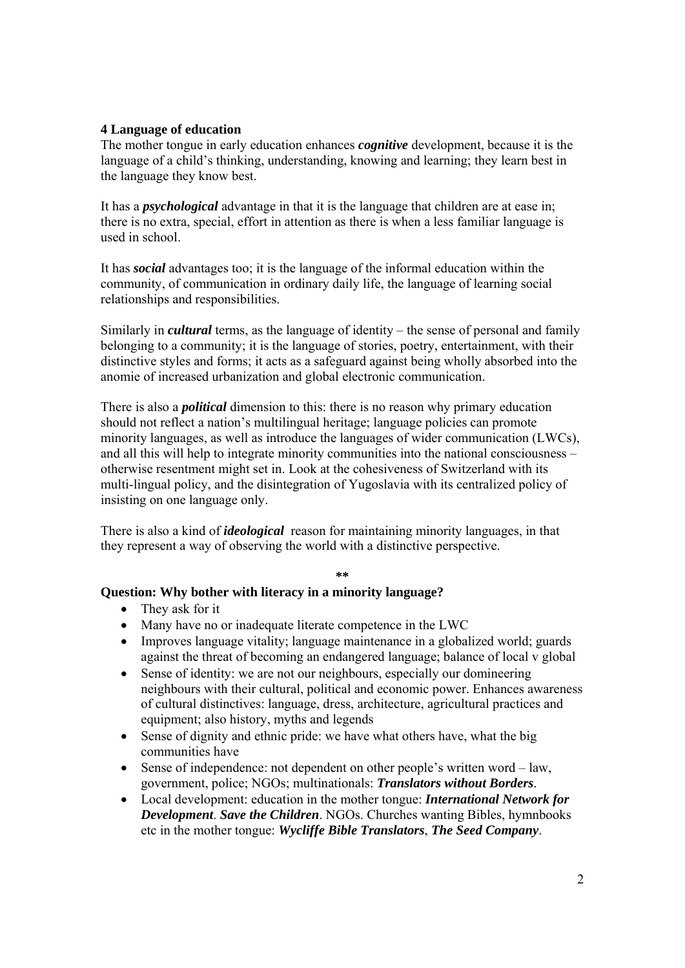## **4 Language of education**

The mother tongue in early education enhances *cognitive* development, because it is the language of a child's thinking, understanding, knowing and learning; they learn best in the language they know best.

It has a *psychological* advantage in that it is the language that children are at ease in; there is no extra, special, effort in attention as there is when a less familiar language is used in school.

It has *social* advantages too; it is the language of the informal education within the community, of communication in ordinary daily life, the language of learning social relationships and responsibilities.

Similarly in *cultural* terms, as the language of identity – the sense of personal and family belonging to a community; it is the language of stories, poetry, entertainment, with their distinctive styles and forms; it acts as a safeguard against being wholly absorbed into the anomie of increased urbanization and global electronic communication.

There is also a *political* dimension to this: there is no reason why primary education should not reflect a nation's multilingual heritage; language policies can promote minority languages, as well as introduce the languages of wider communication (LWCs), and all this will help to integrate minority communities into the national consciousness – otherwise resentment might set in. Look at the cohesiveness of Switzerland with its multi-lingual policy, and the disintegration of Yugoslavia with its centralized policy of insisting on one language only.

There is also a kind of *ideological* reason for maintaining minority languages, in that they represent a way of observing the world with a distinctive perspective.

#### **\*\***

## **Question: Why bother with literacy in a minority language?**

- They ask for it
- Many have no or inadequate literate competence in the LWC
- Improves language vitality; language maintenance in a globalized world; guards against the threat of becoming an endangered language; balance of local v global
- Sense of identity: we are not our neighbours, especially our domineering neighbours with their cultural, political and economic power. Enhances awareness of cultural distinctives: language, dress, architecture, agricultural practices and equipment; also history, myths and legends
- Sense of dignity and ethnic pride: we have what others have, what the big communities have
- Sense of independence: not dependent on other people's written word law, government, police; NGOs; multinationals: *Translators without Borders*.
- Local development: education in the mother tongue: *International Network for Development*. *Save the Children*. NGOs. Churches wanting Bibles, hymnbooks etc in the mother tongue: *Wycliffe Bible Translators*, *The Seed Company*.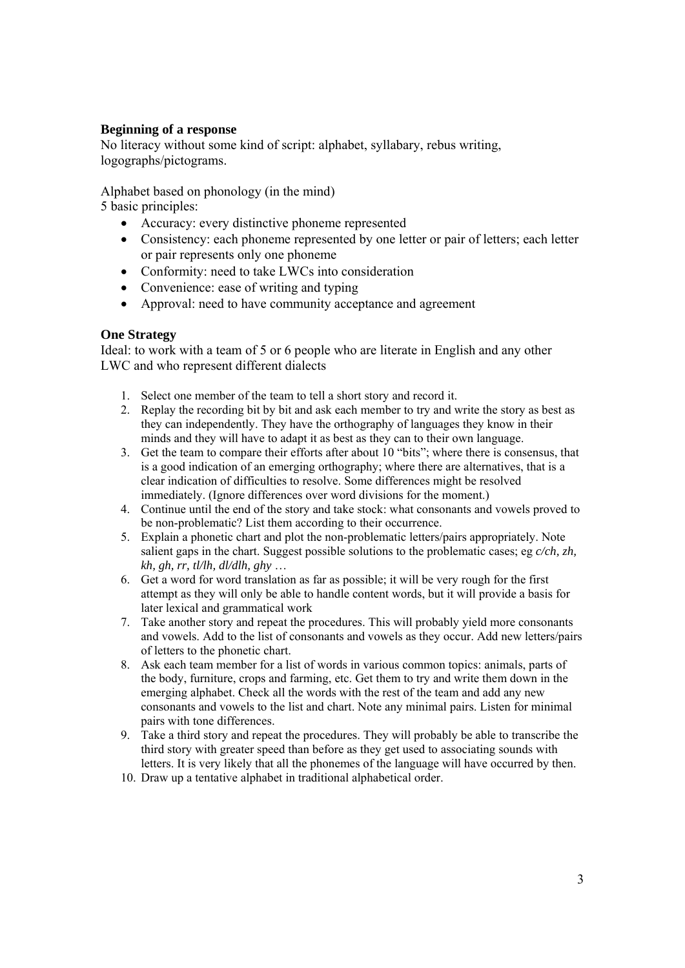## **Beginning of a response**

No literacy without some kind of script: alphabet, syllabary, rebus writing, logographs/pictograms.

Alphabet based on phonology (in the mind)

5 basic principles:

- Accuracy: every distinctive phoneme represented
- Consistency: each phoneme represented by one letter or pair of letters; each letter or pair represents only one phoneme
- Conformity: need to take LWCs into consideration
- Convenience: ease of writing and typing
- Approval: need to have community acceptance and agreement

### **One Strategy**

Ideal: to work with a team of 5 or 6 people who are literate in English and any other LWC and who represent different dialects

- 1. Select one member of the team to tell a short story and record it.
- 2. Replay the recording bit by bit and ask each member to try and write the story as best as they can independently. They have the orthography of languages they know in their minds and they will have to adapt it as best as they can to their own language.
- 3. Get the team to compare their efforts after about 10 "bits"; where there is consensus, that is a good indication of an emerging orthography; where there are alternatives, that is a clear indication of difficulties to resolve. Some differences might be resolved immediately. (Ignore differences over word divisions for the moment.)
- 4. Continue until the end of the story and take stock: what consonants and vowels proved to be non-problematic? List them according to their occurrence.
- 5. Explain a phonetic chart and plot the non-problematic letters/pairs appropriately. Note salient gaps in the chart. Suggest possible solutions to the problematic cases; eg *c/ch, zh, kh, gh, rr, tl/lh, dl/dlh, ghy* …
- 6. Get a word for word translation as far as possible; it will be very rough for the first attempt as they will only be able to handle content words, but it will provide a basis for later lexical and grammatical work
- 7. Take another story and repeat the procedures. This will probably yield more consonants and vowels. Add to the list of consonants and vowels as they occur. Add new letters/pairs of letters to the phonetic chart.
- 8. Ask each team member for a list of words in various common topics: animals, parts of the body, furniture, crops and farming, etc. Get them to try and write them down in the emerging alphabet. Check all the words with the rest of the team and add any new consonants and vowels to the list and chart. Note any minimal pairs. Listen for minimal pairs with tone differences.
- 9. Take a third story and repeat the procedures. They will probably be able to transcribe the third story with greater speed than before as they get used to associating sounds with letters. It is very likely that all the phonemes of the language will have occurred by then.
- 10. Draw up a tentative alphabet in traditional alphabetical order.